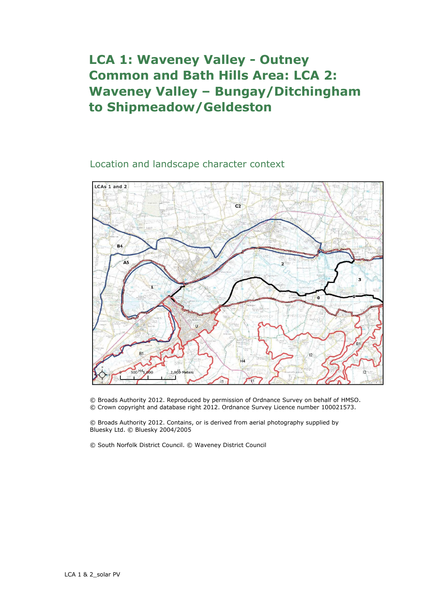## **LCA 1: Waveney Valley - Outney Common and Bath Hills Area: LCA 2: Waveney Valley – Bungay/Ditchingham to Shipmeadow/Geldeston**

## Location and landscape character context



© Broads Authority 2012. Reproduced by permission of Ordnance Survey on behalf of HMSO. © Crown copyright and database right 2012. Ordnance Survey Licence number 100021573.

© Broads Authority 2012. Contains, or is derived from aerial photography supplied by Bluesky Ltd. © Bluesky 2004/2005

© South Norfolk District Council. © Waveney District Council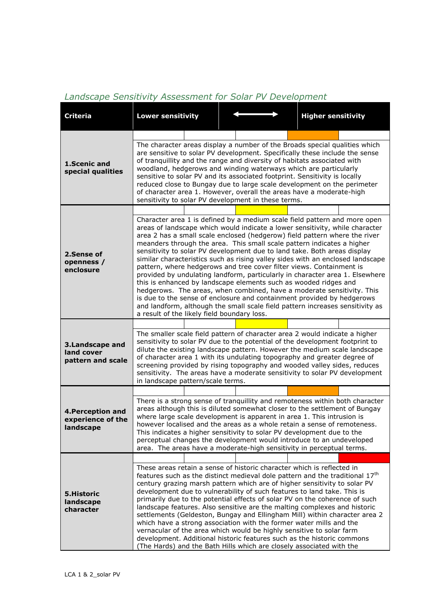## *Landscape Sensitivity Assessment for Solar PV Development*

| <b>Criteria</b>                                            | <b>Lower sensitivity</b>                                                                                                                                                                                                                                                                                                                                                                                                                                                                                                                                                                                                                                                                                                                                                                                                                                                                                                                                                                        |  |  |                                                                                                                                                                                                                                                                                                                                                                                                                                                                                                                                                                                                                                                                                                                                                                                                                                                                       | <b>Higher sensitivity</b> |  |  |
|------------------------------------------------------------|-------------------------------------------------------------------------------------------------------------------------------------------------------------------------------------------------------------------------------------------------------------------------------------------------------------------------------------------------------------------------------------------------------------------------------------------------------------------------------------------------------------------------------------------------------------------------------------------------------------------------------------------------------------------------------------------------------------------------------------------------------------------------------------------------------------------------------------------------------------------------------------------------------------------------------------------------------------------------------------------------|--|--|-----------------------------------------------------------------------------------------------------------------------------------------------------------------------------------------------------------------------------------------------------------------------------------------------------------------------------------------------------------------------------------------------------------------------------------------------------------------------------------------------------------------------------------------------------------------------------------------------------------------------------------------------------------------------------------------------------------------------------------------------------------------------------------------------------------------------------------------------------------------------|---------------------------|--|--|
|                                                            |                                                                                                                                                                                                                                                                                                                                                                                                                                                                                                                                                                                                                                                                                                                                                                                                                                                                                                                                                                                                 |  |  |                                                                                                                                                                                                                                                                                                                                                                                                                                                                                                                                                                                                                                                                                                                                                                                                                                                                       |                           |  |  |
| 1.Scenic and<br>special qualities                          | The character areas display a number of the Broads special qualities which<br>are sensitive to solar PV development. Specifically these include the sense<br>of tranquillity and the range and diversity of habitats associated with<br>woodland, hedgerows and winding waterways which are particularly<br>sensitive to solar PV and its associated footprint. Sensitivity is locally<br>reduced close to Bungay due to large scale development on the perimeter<br>of character area 1. However, overall the areas have a moderate-high<br>sensitivity to solar PV development in these terms.                                                                                                                                                                                                                                                                                                                                                                                                |  |  |                                                                                                                                                                                                                                                                                                                                                                                                                                                                                                                                                                                                                                                                                                                                                                                                                                                                       |                           |  |  |
|                                                            |                                                                                                                                                                                                                                                                                                                                                                                                                                                                                                                                                                                                                                                                                                                                                                                                                                                                                                                                                                                                 |  |  |                                                                                                                                                                                                                                                                                                                                                                                                                                                                                                                                                                                                                                                                                                                                                                                                                                                                       |                           |  |  |
| 2.Sense of<br>openness /<br>enclosure                      | Character area 1 is defined by a medium scale field pattern and more open<br>areas of landscape which would indicate a lower sensitivity, while character<br>area 2 has a small scale enclosed (hedgerow) field pattern where the river<br>meanders through the area. This small scale pattern indicates a higher<br>sensitivity to solar PV development due to land take. Both areas display<br>similar characteristics such as rising valley sides with an enclosed landscape<br>pattern, where hedgerows and tree cover filter views. Containment is<br>provided by undulating landform, particularly in character area 1. Elsewhere<br>this is enhanced by landscape elements such as wooded ridges and<br>hedgerows. The areas, when combined, have a moderate sensitivity. This<br>is due to the sense of enclosure and containment provided by hedgerows<br>and landform, although the small scale field pattern increases sensitivity as<br>a result of the likely field boundary loss. |  |  |                                                                                                                                                                                                                                                                                                                                                                                                                                                                                                                                                                                                                                                                                                                                                                                                                                                                       |                           |  |  |
|                                                            |                                                                                                                                                                                                                                                                                                                                                                                                                                                                                                                                                                                                                                                                                                                                                                                                                                                                                                                                                                                                 |  |  |                                                                                                                                                                                                                                                                                                                                                                                                                                                                                                                                                                                                                                                                                                                                                                                                                                                                       |                           |  |  |
| 3. Landscape and<br>land cover<br>pattern and scale        | The smaller scale field pattern of character area 2 would indicate a higher<br>sensitivity to solar PV due to the potential of the development footprint to<br>dilute the existing landscape pattern. However the medium scale landscape<br>of character area 1 with its undulating topography and greater degree of<br>screening provided by rising topography and wooded valley sides, reduces<br>sensitivity. The areas have a moderate sensitivity to solar PV development<br>in landscape pattern/scale terms.                                                                                                                                                                                                                                                                                                                                                                                                                                                                             |  |  |                                                                                                                                                                                                                                                                                                                                                                                                                                                                                                                                                                                                                                                                                                                                                                                                                                                                       |                           |  |  |
| <b>4. Perception and</b><br>experience of the<br>landscape |                                                                                                                                                                                                                                                                                                                                                                                                                                                                                                                                                                                                                                                                                                                                                                                                                                                                                                                                                                                                 |  |  |                                                                                                                                                                                                                                                                                                                                                                                                                                                                                                                                                                                                                                                                                                                                                                                                                                                                       |                           |  |  |
|                                                            | There is a strong sense of tranquillity and remoteness within both character<br>areas although this is diluted somewhat closer to the settlement of Bungay<br>where large scale development is apparent in area 1. This intrusion is<br>however localised and the areas as a whole retain a sense of remoteness.<br>This indicates a higher sensitivity to solar PV development due to the<br>perceptual changes the development would introduce to an undeveloped<br>area. The areas have a moderate-high sensitivity in perceptual terms.                                                                                                                                                                                                                                                                                                                                                                                                                                                     |  |  |                                                                                                                                                                                                                                                                                                                                                                                                                                                                                                                                                                                                                                                                                                                                                                                                                                                                       |                           |  |  |
|                                                            |                                                                                                                                                                                                                                                                                                                                                                                                                                                                                                                                                                                                                                                                                                                                                                                                                                                                                                                                                                                                 |  |  |                                                                                                                                                                                                                                                                                                                                                                                                                                                                                                                                                                                                                                                                                                                                                                                                                                                                       |                           |  |  |
| 5.Historic<br>landscape<br>character                       |                                                                                                                                                                                                                                                                                                                                                                                                                                                                                                                                                                                                                                                                                                                                                                                                                                                                                                                                                                                                 |  |  | These areas retain a sense of historic character which is reflected in<br>features such as the distinct medieval dole pattern and the traditional 17 <sup>th</sup><br>century grazing marsh pattern which are of higher sensitivity to solar PV<br>development due to vulnerability of such features to land take. This is<br>primarily due to the potential effects of solar PV on the coherence of such<br>landscape features. Also sensitive are the malting complexes and historic<br>settlements (Geldeston, Bungay and Ellingham Mill) within character area 2<br>which have a strong association with the former water mills and the<br>vernacular of the area which would be highly sensitive to solar farm<br>development. Additional historic features such as the historic commons<br>(The Hards) and the Bath Hills which are closely associated with the |                           |  |  |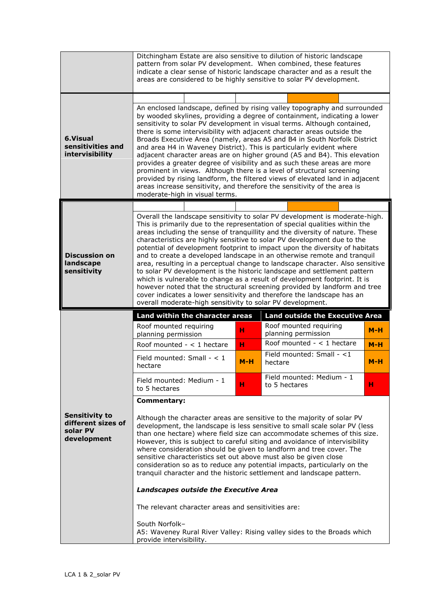|                                                                        | Ditchingham Estate are also sensitive to dilution of historic landscape<br>pattern from solar PV development. When combined, these features<br>indicate a clear sense of historic landscape character and as a result the<br>areas are considered to be highly sensitive to solar PV development.                                                                                                                                                                                                                                                                                                                                                                                                                                                                                                                                                                                                                                              |        |                                                                                                                  |                |  |  |  |
|------------------------------------------------------------------------|------------------------------------------------------------------------------------------------------------------------------------------------------------------------------------------------------------------------------------------------------------------------------------------------------------------------------------------------------------------------------------------------------------------------------------------------------------------------------------------------------------------------------------------------------------------------------------------------------------------------------------------------------------------------------------------------------------------------------------------------------------------------------------------------------------------------------------------------------------------------------------------------------------------------------------------------|--------|------------------------------------------------------------------------------------------------------------------|----------------|--|--|--|
| 6.Visual<br>sensitivities and<br>intervisibility                       | An enclosed landscape, defined by rising valley topography and surrounded<br>by wooded skylines, providing a degree of containment, indicating a lower<br>sensitivity to solar PV development in visual terms. Although contained,<br>there is some intervisibility with adjacent character areas outside the<br>Broads Executive Area (namely, areas A5 and B4 in South Norfolk District<br>and area H4 in Waveney District). This is particularly evident where<br>adjacent character areas are on higher ground (A5 and B4). This elevation<br>provides a greater degree of visibility and as such these areas are more<br>prominent in views. Although there is a level of structural screening<br>provided by rising landform, the filtered views of elevated land in adjacent<br>areas increase sensitivity, and therefore the sensitivity of the area is<br>moderate-high in visual terms.                                              |        |                                                                                                                  |                |  |  |  |
| <b>Discussion on</b><br>landscape<br>sensitivity                       | Overall the landscape sensitivity to solar PV development is moderate-high.<br>This is primarily due to the representation of special qualities within the<br>areas including the sense of tranquillity and the diversity of nature. These<br>characteristics are highly sensitive to solar PV development due to the<br>potential of development footprint to impact upon the diversity of habitats<br>and to create a developed landscape in an otherwise remote and tranquil<br>area, resulting in a perceptual change to landscape character. Also sensitive<br>to solar PV development is the historic landscape and settlement pattern<br>which is vulnerable to change as a result of development footprint. It is<br>however noted that the structural screening provided by landform and tree<br>cover indicates a lower sensitivity and therefore the landscape has an<br>overall moderate-high sensitivity to solar PV development. |        |                                                                                                                  |                |  |  |  |
|                                                                        | Land within the character areas<br>Roof mounted requiring<br>planning permission<br>Roof mounted $-$ < 1 hectare                                                                                                                                                                                                                                                                                                                                                                                                                                                                                                                                                                                                                                                                                                                                                                                                                               | н<br>н | Land outside the Executive Area<br>Roof mounted requiring<br>planning permission<br>Roof mounted $-$ < 1 hectare | $M-H$<br>$M-H$ |  |  |  |
|                                                                        | Field mounted: Small $- < 1$<br>hectare                                                                                                                                                                                                                                                                                                                                                                                                                                                                                                                                                                                                                                                                                                                                                                                                                                                                                                        | M-H    | Field mounted: Small - $<$ 1<br>hectare                                                                          | $M-H$          |  |  |  |
|                                                                        | Field mounted: Medium - 1<br>to 5 hectares                                                                                                                                                                                                                                                                                                                                                                                                                                                                                                                                                                                                                                                                                                                                                                                                                                                                                                     | н      | Field mounted: Medium - 1<br>to 5 hectares                                                                       | н              |  |  |  |
| <b>Sensitivity to</b><br>different sizes of<br>solar PV<br>development | <b>Commentary:</b><br>Although the character areas are sensitive to the majority of solar PV<br>development, the landscape is less sensitive to small scale solar PV (less<br>than one hectare) where field size can accommodate schemes of this size.<br>However, this is subject to careful siting and avoidance of intervisibility<br>where consideration should be given to landform and tree cover. The<br>sensitive characteristics set out above must also be given close<br>consideration so as to reduce any potential impacts, particularly on the<br>tranquil character and the historic settlement and landscape pattern.<br>Landscapes outside the Executive Area<br>The relevant character areas and sensitivities are:<br>South Norfolk-<br>A5: Waveney Rural River Valley: Rising valley sides to the Broads which<br>provide intervisibility.                                                                                 |        |                                                                                                                  |                |  |  |  |